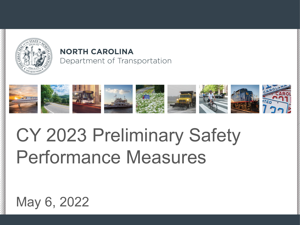

### **NORTH CAROLINA** Department of Transportation



## CY 2023 Preliminary Safety Performance Measures

### May 6, 2022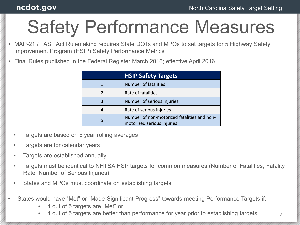### ncdot.gov

## Safety Performance Measures

• MAP-21 / FAST Act Rulemaking requires State DOTs and MPOs to set targets for 5 Highway Safety Improvement Program (HSIP) Safety Performance Metrics

| <b>HSIP Safety Targets</b> |                                                                           |  |  |  |  |
|----------------------------|---------------------------------------------------------------------------|--|--|--|--|
|                            | <b>Number of fatalities</b>                                               |  |  |  |  |
|                            | Rate of fatalities                                                        |  |  |  |  |
|                            | Number of serious injuries                                                |  |  |  |  |
|                            | Rate of serious injuries                                                  |  |  |  |  |
|                            | Number of non-motorized fatalities and non-<br>motorized serious injuries |  |  |  |  |

• Final Rules published in the Federal Register March 2016; effective April 2016

- Targets are based on 5 year rolling averages
- Targets are for calendar years
- Targets are established annually
- Targets must be identical to NHTSA HSP targets for common measures (Number of Fatalities, Fatality Rate, Number of Serious Injuries)
- States and MPOs must coordinate on establishing targets
- States would have "Met" or "Made Significant Progress" towards meeting Performance Targets if:
	- 4 out of 5 targets are "Met" or
	- 4 out of 5 targets are better than performance for year prior to establishing targets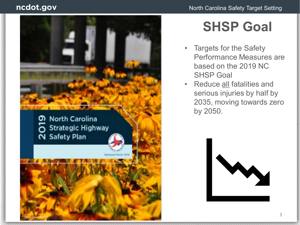#### ncdot.gov



### **SHSP Goal**

- Targets for the Safety Performance Measures are based on the 2019 NC SHSP Goal
- Reduce all fatalities and serious injuries by half by 2035, moving towards zero by 2050.

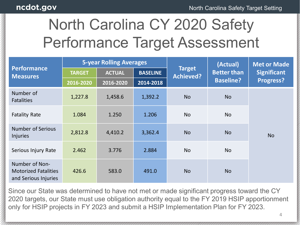## North Carolina CY 2020 Safety Performance Target Assessment

| <b>Performance</b><br><b>Measures</b>                                 | <b>5-year Rolling Averages</b> |               |                 |                                   | (Actual)                               | <b>Met or Made</b>                     |  |
|-----------------------------------------------------------------------|--------------------------------|---------------|-----------------|-----------------------------------|----------------------------------------|----------------------------------------|--|
|                                                                       | <b>TARGET</b>                  | <b>ACTUAL</b> | <b>BASELINE</b> | <b>Target</b><br><b>Achieved?</b> | <b>Better than</b><br><b>Baseline?</b> | <b>Significant</b><br><b>Progress?</b> |  |
|                                                                       | 2016-2020                      | 2016-2020     | 2014-2018       |                                   |                                        |                                        |  |
| Number of<br><b>Fatalities</b>                                        | 1,227.8                        | 1,458.6       | 1,392.2         | <b>No</b>                         | <b>No</b>                              |                                        |  |
| <b>Fatality Rate</b>                                                  | 1.084                          | 1.250         | 1.206           | <b>No</b>                         | <b>No</b>                              |                                        |  |
| <b>Number of Serious</b><br><b>Injuries</b>                           | 2,812.8                        | 4,410.2       | 3,362.4         | <b>No</b>                         | <b>No</b>                              | <b>No</b>                              |  |
| Serious Injury Rate                                                   | 2.462                          | 3.776         | 2.884           | <b>No</b>                         | <b>No</b>                              |                                        |  |
| Number of Non-<br><b>Motorized Fatalities</b><br>and Serious Injuries | 426.6                          | 583.0         | 491.0           | <b>No</b>                         | <b>No</b>                              |                                        |  |

Since our State was determined to have not met or made significant progress toward the CY 2020 targets, our State must use obligation authority equal to the FY 2019 HSIP apportionment only for HSIP projects in FY 2023 and submit a HSIP Implementation Plan for FY 2023.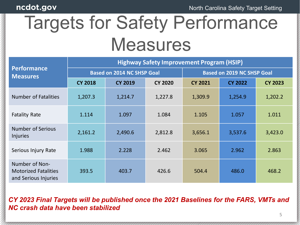## Targets for Safety Performance **Measures**

|                                                                       | <b>Highway Safety Improvement Program (HSIP)</b> |                                   |                |                                   |                |                |  |  |  |
|-----------------------------------------------------------------------|--------------------------------------------------|-----------------------------------|----------------|-----------------------------------|----------------|----------------|--|--|--|
| <b>Performance</b><br><b>Measures</b>                                 |                                                  | <b>Based on 2014 NC SHSP Goal</b> |                | <b>Based on 2019 NC SHSP Goal</b> |                |                |  |  |  |
|                                                                       | <b>CY 2018</b>                                   | <b>CY 2019</b>                    | <b>CY 2020</b> | <b>CY 2021</b>                    | <b>CY 2022</b> | <b>CY 2023</b> |  |  |  |
| <b>Number of Fatalities</b>                                           | 1,207.3                                          | 1,214.7                           | 1,227.8        | 1,309.9                           | 1,254.9        | 1,202.2        |  |  |  |
| <b>Fatality Rate</b>                                                  | 1.114                                            | 1.097                             | 1.084          | 1.105                             | 1.057          | 1.011          |  |  |  |
| <b>Number of Serious</b><br><b>Injuries</b>                           | 2,161.2                                          | 2,490.6                           | 2,812.8        | 3,656.1                           | 3,537.6        | 3,423.0        |  |  |  |
| Serious Injury Rate                                                   | 1.988                                            | 2.228                             | 2.462          | 3.065                             | 2.962          | 2.863          |  |  |  |
| Number of Non-<br><b>Motorized Fatalities</b><br>and Serious Injuries | 393.5                                            | 403.7                             | 426.6          | 504.4                             | 486.0          | 468.2          |  |  |  |

#### *CY 2023 Final Targets will be published once the 2021 Baselines for the FARS, VMTs and NC crash data have been stabilized*